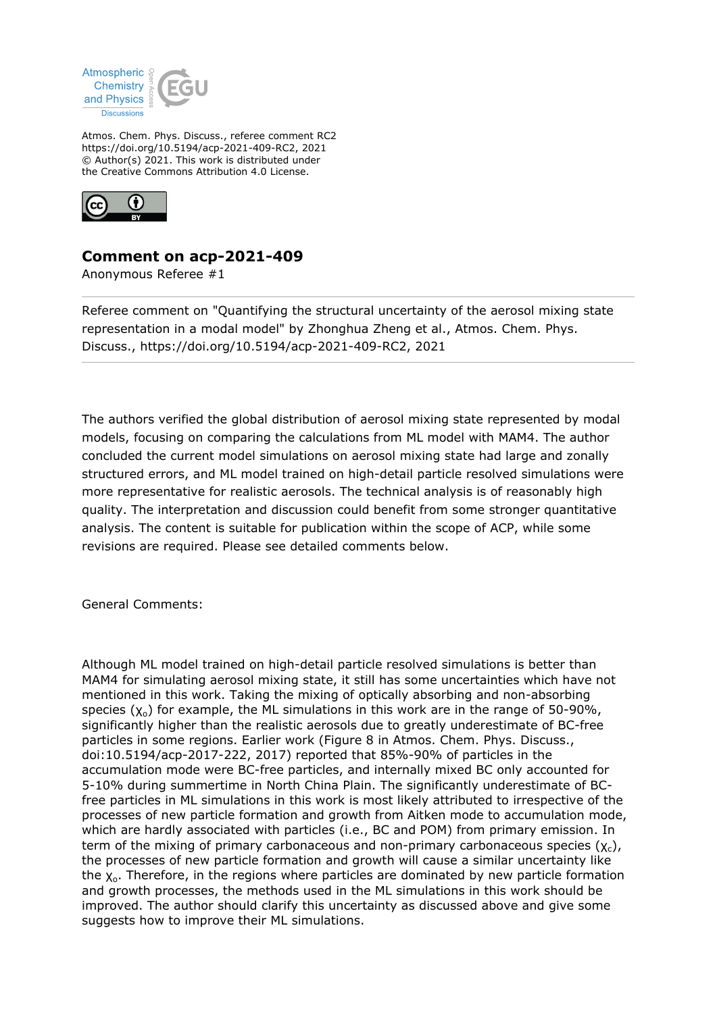

Atmos. Chem. Phys. Discuss., referee comment RC2 https://doi.org/10.5194/acp-2021-409-RC2, 2021 © Author(s) 2021. This work is distributed under the Creative Commons Attribution 4.0 License.



## **Comment on acp-2021-409**

Anonymous Referee #1

Referee comment on "Quantifying the structural uncertainty of the aerosol mixing state representation in a modal model" by Zhonghua Zheng et al., Atmos. Chem. Phys. Discuss., https://doi.org/10.5194/acp-2021-409-RC2, 2021

The authors verified the global distribution of aerosol mixing state represented by modal models, focusing on comparing the calculations from ML model with MAM4. The author concluded the current model simulations on aerosol mixing state had large and zonally structured errors, and ML model trained on high-detail particle resolved simulations were more representative for realistic aerosols. The technical analysis is of reasonably high quality. The interpretation and discussion could benefit from some stronger quantitative analysis. The content is suitable for publication within the scope of ACP, while some revisions are required. Please see detailed comments below.

General Comments:

Although ML model trained on high-detail particle resolved simulations is better than MAM4 for simulating aerosol mixing state, it still has some uncertainties which have not mentioned in this work. Taking the mixing of optically absorbing and non-absorbing species  $(\chi_0)$  for example, the ML simulations in this work are in the range of 50-90%, significantly higher than the realistic aerosols due to greatly underestimate of BC-free particles in some regions. Earlier work (Figure 8 in Atmos. Chem. Phys. Discuss., doi:10.5194/acp-2017-222, 2017) reported that 85%-90% of particles in the accumulation mode were BC-free particles, and internally mixed BC only accounted for 5-10% during summertime in North China Plain. The significantly underestimate of BCfree particles in ML simulations in this work is most likely attributed to irrespective of the processes of new particle formation and growth from Aitken mode to accumulation mode, which are hardly associated with particles (i.e., BC and POM) from primary emission. In term of the mixing of primary carbonaceous and non-primary carbonaceous species  $(\chi_c)$ , the processes of new particle formation and growth will cause a similar uncertainty like the  $X_0$ . Therefore, in the regions where particles are dominated by new particle formation and growth processes, the methods used in the ML simulations in this work should be improved. The author should clarify this uncertainty as discussed above and give some suggests how to improve their ML simulations.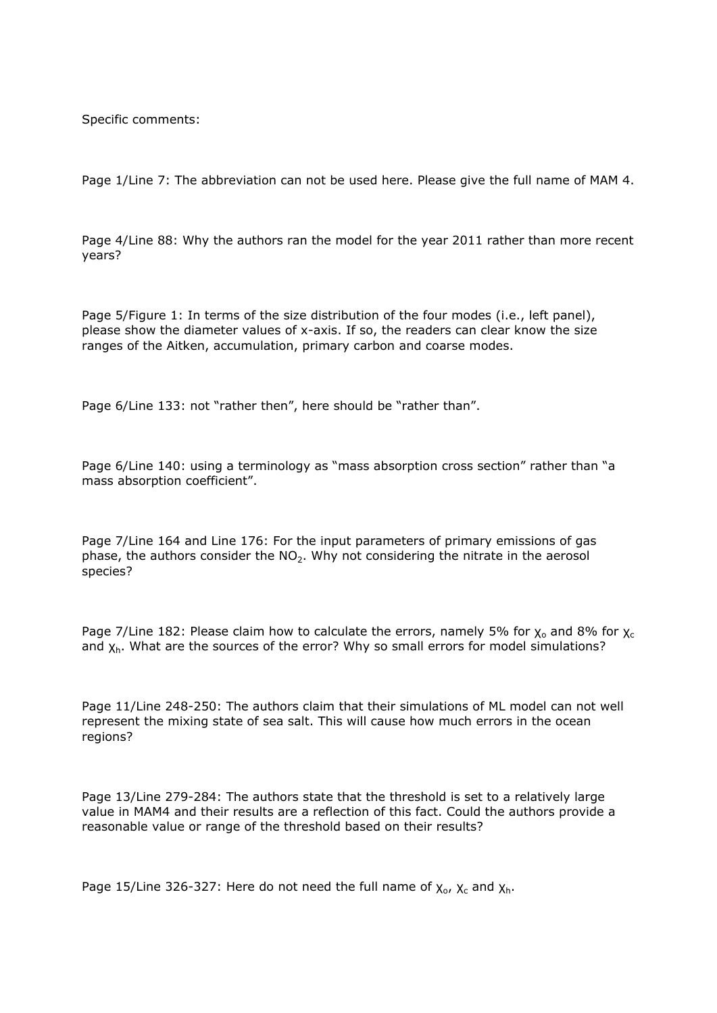Specific comments:

Page 1/Line 7: The abbreviation can not be used here. Please give the full name of MAM 4.

Page 4/Line 88: Why the authors ran the model for the year 2011 rather than more recent years?

Page 5/Figure 1: In terms of the size distribution of the four modes (i.e., left panel), please show the diameter values of x-axis. If so, the readers can clear know the size ranges of the Aitken, accumulation, primary carbon and coarse modes.

Page 6/Line 133: not "rather then", here should be "rather than".

Page 6/Line 140: using a terminology as "mass absorption cross section" rather than "a mass absorption coefficient".

Page 7/Line 164 and Line 176: For the input parameters of primary emissions of gas phase, the authors consider the  $NO<sub>2</sub>$ . Why not considering the nitrate in the aerosol species?

Page 7/Line 182: Please claim how to calculate the errors, namely 5% for  $\chi_0$  and 8% for  $\chi_c$ and  $\chi_h$ . What are the sources of the error? Why so small errors for model simulations?

Page 11/Line 248-250: The authors claim that their simulations of ML model can not well represent the mixing state of sea salt. This will cause how much errors in the ocean regions?

Page 13/Line 279-284: The authors state that the threshold is set to a relatively large value in MAM4 and their results are a reflection of this fact. Could the authors provide a reasonable value or range of the threshold based on their results?

Page 15/Line 326-327: Here do not need the full name of  $\chi_o$ ,  $\chi_c$  and  $\chi_h$ .